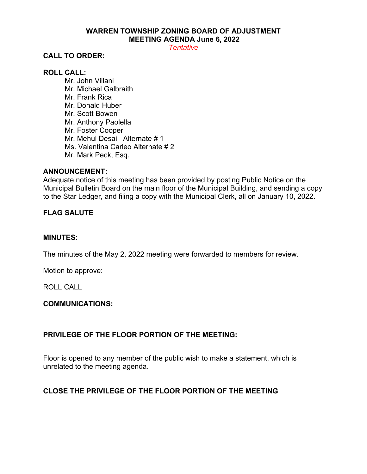# **WARREN TOWNSHIP ZONING BOARD OF ADJUSTMENT MEETING AGENDA June 6, 2022**

*Tentative*

## **CALL TO ORDER:**

## **ROLL CALL:**

Mr. John Villani Mr. Michael Galbraith Mr. Frank Rica Mr. Donald Huber Mr. Scott Bowen Mr. Anthony Paolella Mr. Foster Cooper Mr. Mehul Desai Alternate # 1 Ms. Valentina Carleo Alternate # 2 Mr. Mark Peck, Esq.

#### **ANNOUNCEMENT:**

Adequate notice of this meeting has been provided by posting Public Notice on the Municipal Bulletin Board on the main floor of the Municipal Building, and sending a copy to the Star Ledger, and filing a copy with the Municipal Clerk, all on January 10, 2022.

# **FLAG SALUTE**

#### **MINUTES:**

The minutes of the May 2, 2022 meeting were forwarded to members for review.

Motion to approve:

ROLL CALL

## **COMMUNICATIONS:**

## **PRIVILEGE OF THE FLOOR PORTION OF THE MEETING:**

Floor is opened to any member of the public wish to make a statement, which is unrelated to the meeting agenda.

# **CLOSE THE PRIVILEGE OF THE FLOOR PORTION OF THE MEETING**